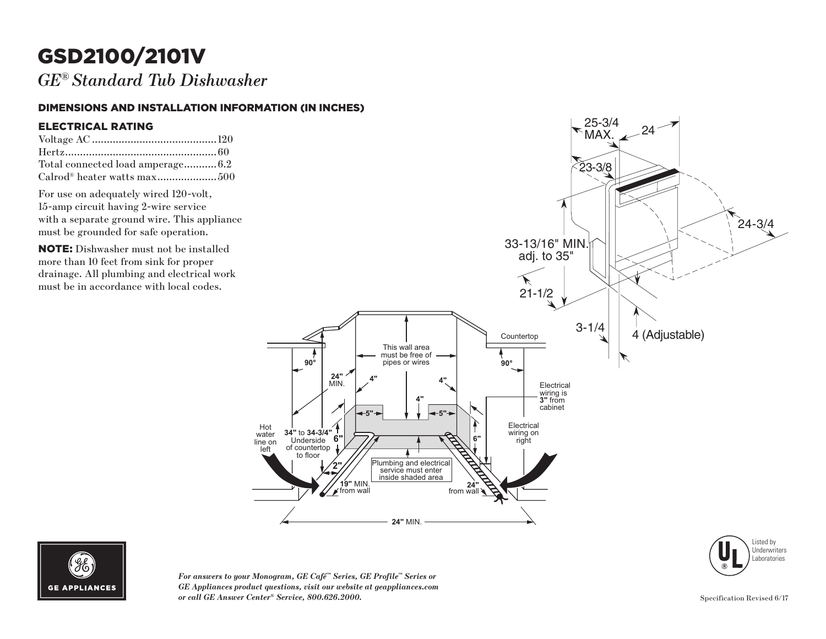# GSD2100/2101V

*GE® Standard Tub Dishwasher*

#### DIMENSIONS AND INSTALLATION INFORMATION (IN INCHES)

#### ELECTRICAL RATING

| Total connected load amperage 6.2       |  |
|-----------------------------------------|--|
| Calrod <sup>®</sup> heater watts max500 |  |

For use on adequately wired 120-volt, 15-amp circuit having 2-wire service with a separate ground wire. This appliance must be grounded for safe operation.

NOTE: Dishwasher must not be installed more than 10 feet from sink for proper drainage. All plumbing and electrical work must be in accordance with local codes.





*For answers to your Monogram, GE Café™ Series, GE Profile™ Series or GE Appliances product questions, visit our website at geappliances.com or call GE Answer Center® Service, 800.626.2000.* Specification Revised 6/17

Listed by **Underwriters** Laboratories